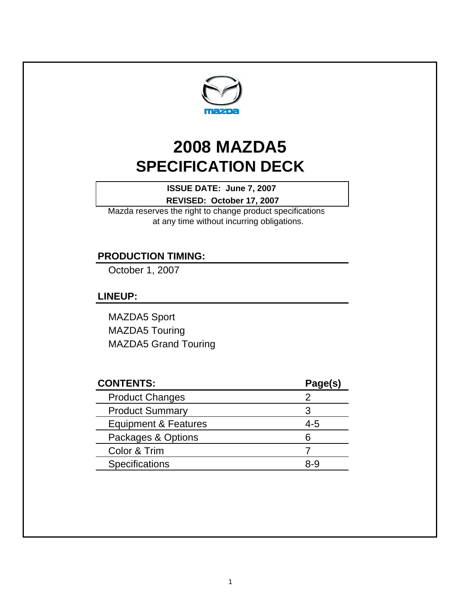

# **SPECIFICATION DECK 2008 MAZDA5**

**REVISED: October 17, 2007 ISSUE DATE: June 7, 2007** 

Mazda reserves the right to change product specifications at any time without incurring obligations.

# **PRODUCTION TIMING:**

October 1, 2007

### **LINEUP:**

MAZDA5 Sport MAZDA5 Touring MAZDA5 Grand Touring

| <b>CONTENTS:</b>       | Page(s) |
|------------------------|---------|
| <b>Product Changes</b> |         |
| <b>Product Summary</b> | З       |
| Equipment & Features   | $4 - 5$ |
| Packages & Options     | ิธ      |
| Color & Trim           |         |
| <b>Specifications</b>  | x-q     |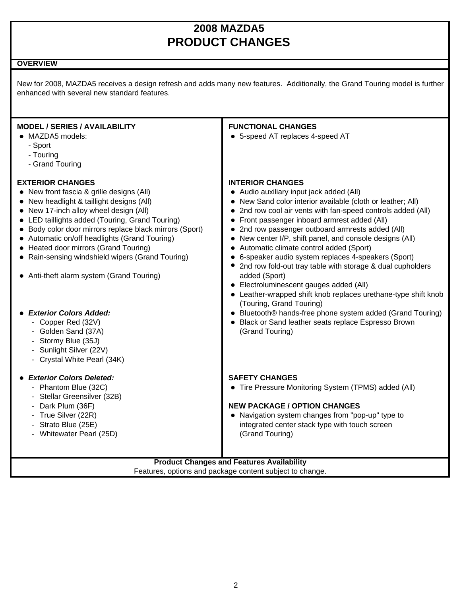# **2008 MAZDA5 PRODUCT CHANGES**

#### **OVERVIEW**

New for 2008, MAZDA5 receives a design refresh and adds many new features. Additionally, the Grand Touring model is further enhanced with several new standard features.

| <b>MODEL / SERIES / AVAILABILITY</b><br>• MAZDA5 models:<br>- Sport<br>- Touring<br>- Grand Touring                                                                                                                                                                                                                                                                                                                                                                                                                                                                                                                                 | <b>FUNCTIONAL CHANGES</b><br>• 5-speed AT replaces 4-speed AT                                                                                                                                                                                                                                                                                                                                                                                                                                                                                                                                                                                                                                                                                                                                                                             |  |  |  |
|-------------------------------------------------------------------------------------------------------------------------------------------------------------------------------------------------------------------------------------------------------------------------------------------------------------------------------------------------------------------------------------------------------------------------------------------------------------------------------------------------------------------------------------------------------------------------------------------------------------------------------------|-------------------------------------------------------------------------------------------------------------------------------------------------------------------------------------------------------------------------------------------------------------------------------------------------------------------------------------------------------------------------------------------------------------------------------------------------------------------------------------------------------------------------------------------------------------------------------------------------------------------------------------------------------------------------------------------------------------------------------------------------------------------------------------------------------------------------------------------|--|--|--|
| <b>EXTERIOR CHANGES</b><br>• New front fascia & grille designs (All)<br>• New headlight & taillight designs (All)<br>• New 17-inch alloy wheel design (All)<br>• LED taillights added (Touring, Grand Touring)<br>• Body color door mirrors replace black mirrors (Sport)<br>• Automatic on/off headlights (Grand Touring)<br>• Heated door mirrors (Grand Touring)<br>• Rain-sensing windshield wipers (Grand Touring)<br>• Anti-theft alarm system (Grand Touring)<br><b>Exterior Colors Added:</b><br>- Copper Red (32V)<br>- Golden Sand (37A)<br>- Stormy Blue (35J)<br>- Sunlight Silver (22V)<br>- Crystal White Pearl (34K) | <b>INTERIOR CHANGES</b><br>• Audio auxiliary input jack added (All)<br>New Sand color interior available (cloth or leather; All)<br>2nd row cool air vents with fan-speed controls added (All)<br>Front passenger inboard armrest added (All)<br>$\bullet$<br>2nd row passenger outboard armrests added (All)<br>New center I/P, shift panel, and console designs (All)<br>Automatic climate control added (Sport)<br>6-speaker audio system replaces 4-speakers (Sport)<br>2nd row fold-out tray table with storage & dual cupholders<br>added (Sport)<br>• Electroluminescent gauges added (All)<br>• Leather-wrapped shift knob replaces urethane-type shift knob<br>(Touring, Grand Touring)<br>• Bluetooth® hands-free phone system added (Grand Touring)<br>• Black or Sand leather seats replace Espresso Brown<br>(Grand Touring) |  |  |  |
| <b>Exterior Colors Deleted:</b><br>- Phantom Blue (32C)<br>- Stellar Greensilver (32B)<br>- Dark Plum (36F)<br>- True Silver (22R)<br>- Strato Blue (25E)<br>- Whitewater Pearl (25D)                                                                                                                                                                                                                                                                                                                                                                                                                                               | <b>SAFETY CHANGES</b><br>• Tire Pressure Monitoring System (TPMS) added (All)<br><b>NEW PACKAGE / OPTION CHANGES</b><br>• Navigation system changes from "pop-up" type to<br>integrated center stack type with touch screen<br>(Grand Touring)                                                                                                                                                                                                                                                                                                                                                                                                                                                                                                                                                                                            |  |  |  |
| <b>Product Changes and Features Availability</b>                                                                                                                                                                                                                                                                                                                                                                                                                                                                                                                                                                                    |                                                                                                                                                                                                                                                                                                                                                                                                                                                                                                                                                                                                                                                                                                                                                                                                                                           |  |  |  |

Features, options and package content subject to change.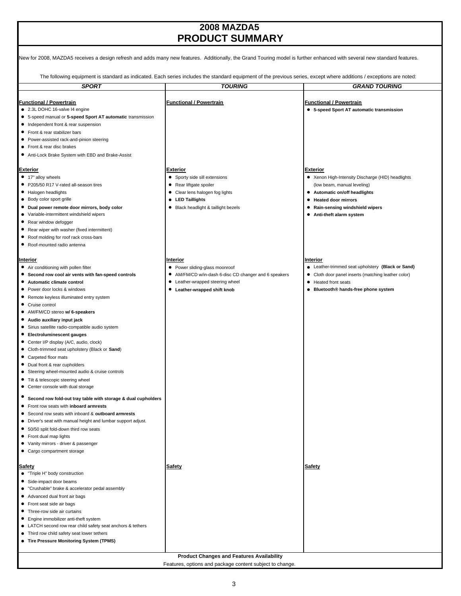## **2008 MAZDA5 PRODUCT SUMMARY**

| New for 2008, MAZDA5 receives a design refresh and adds many new features. Additionally, the Grand Touring model is further enhanced with several new standard features.                                                                                                                                                                                                                                                                                                                                                                                                                                                                                                                                                                                                                                                                                                                                                                                                                                                                                                              |                                                                                                                                                                            |                                                                                                                                                                                                                              |
|---------------------------------------------------------------------------------------------------------------------------------------------------------------------------------------------------------------------------------------------------------------------------------------------------------------------------------------------------------------------------------------------------------------------------------------------------------------------------------------------------------------------------------------------------------------------------------------------------------------------------------------------------------------------------------------------------------------------------------------------------------------------------------------------------------------------------------------------------------------------------------------------------------------------------------------------------------------------------------------------------------------------------------------------------------------------------------------|----------------------------------------------------------------------------------------------------------------------------------------------------------------------------|------------------------------------------------------------------------------------------------------------------------------------------------------------------------------------------------------------------------------|
|                                                                                                                                                                                                                                                                                                                                                                                                                                                                                                                                                                                                                                                                                                                                                                                                                                                                                                                                                                                                                                                                                       | The following equipment is standard as indicated. Each series includes the standard equipment of the previous series, except where additions / exceptions are noted:       |                                                                                                                                                                                                                              |
| <b>SPORT</b>                                                                                                                                                                                                                                                                                                                                                                                                                                                                                                                                                                                                                                                                                                                                                                                                                                                                                                                                                                                                                                                                          | <b>TOURING</b>                                                                                                                                                             | <b>GRAND TOURING</b>                                                                                                                                                                                                         |
| Functional / Powertrain<br>• 2.3L DOHC 16-valve I4 engine<br>• 5-speed manual or 5-speed Sport AT automatic transmission<br>• Independent front & rear suspension<br>Front & rear stabilizer bars<br>• Power-assisted rack-and-pinion steering<br>• Front & rear disc brakes<br>• Anti-Lock Brake System with EBD and Brake-Assist                                                                                                                                                                                                                                                                                                                                                                                                                                                                                                                                                                                                                                                                                                                                                    | <b>Functional / Powertrain</b>                                                                                                                                             | <u>Functional / Powertrain</u><br>• 5-speed Sport AT automatic transmission                                                                                                                                                  |
| Exterior<br>• 17" alloy wheels<br>● P205/50 R17 V-rated all-season tires<br>• Halogen headlights<br>• Body color sport grille<br>• Dual power remote door mirrors, body color<br>• Variable-intermittent windshield wipers<br>• Rear window defogger<br>• Rear wiper with washer (fixed intermittent)<br>• Roof molding for roof rack cross-bars<br>• Roof-mounted radio antenna                                                                                                                                                                                                                                                                                                                                                                                                                                                                                                                                                                                                                                                                                                      | <b>Exterior</b><br>• Sporty side sill extensions<br>• Rear liftgate spoiler<br>• Clear lens halogen fog lights<br>• LED Taillights<br>• Black headlight & taillight bezels | Exterior<br>• Xenon High-Intensity Discharge (HID) headlights<br>(low beam, manual leveling)<br>• Automatic on/off headlights<br><b>Heated door mirrors</b><br>• Rain-sensing windshield wipers<br>• Anti-theft alarm system |
| Interior<br>• Air conditioning with pollen filter<br>• Second row cool air vents with fan-speed controls<br>• Automatic climate control<br>Power door locks & windows<br>$\bullet$<br>• Remote keyless illuminated entry system<br>• Cruise control<br>• AM/FM/CD stereo w/ 6-speakers<br>• Audio auxiliary input jack<br>• Sirius satellite radio-compatible audio system<br>• Electroluminescent gauges<br>• Center I/P display (A/C, audio, clock)<br>• Cloth-trimmed seat upholstery (Black or Sand)<br>• Carpeted floor mats<br>• Dual front & rear cupholders<br>Steering wheel-mounted audio & cruise controls<br>Tilt & telescopic steering wheel<br>• Center console with dual storage<br>Second row fold-out tray table with storage & dual cupholders<br>Front row seats with inboard armrests<br>٠<br>Second row seats with inboard & outboard armrests<br>Driver's seat with manual height and lumbar support adjust.<br>٠<br>• 50/50 split fold-down third row seats<br>• Front dual map lights<br>• Vanity mirrors - driver & passenger<br>• Cargo compartment storage | Interior<br>• Power sliding-glass moonroof<br>• AM/FM/CD w/in-dash 6-disc CD changer and 6 speakers<br>Leather-wrapped steering wheel<br>• Leather-wrapped shift knob      | Interior<br>• Leather-trimmed seat upholstery (Black or Sand)<br>Cloth door panel inserts (matching leather color)<br>٠<br>Heated front seats<br>٠<br>Bluetooth® hands-free phone system<br>$\bullet$                        |
| Safety<br>• "Triple H" body construction<br>• Side-impact door beams<br>• "Crushable" brake & accelerator pedal assembly<br>• Advanced dual front air bags<br>• Front seat side air bags<br>Three-row side air curtains<br>• Engine immobilizer anti-theft system<br>• LATCH second row rear child safety seat anchors & tethers<br>• Third row child safety seat lower tethers<br>• Tire Pressure Monitoring System (TPMS)                                                                                                                                                                                                                                                                                                                                                                                                                                                                                                                                                                                                                                                           | <b>Safety</b>                                                                                                                                                              | <b>Safety</b>                                                                                                                                                                                                                |

**Product Changes and Features Availability**

Features, options and package content subject to change.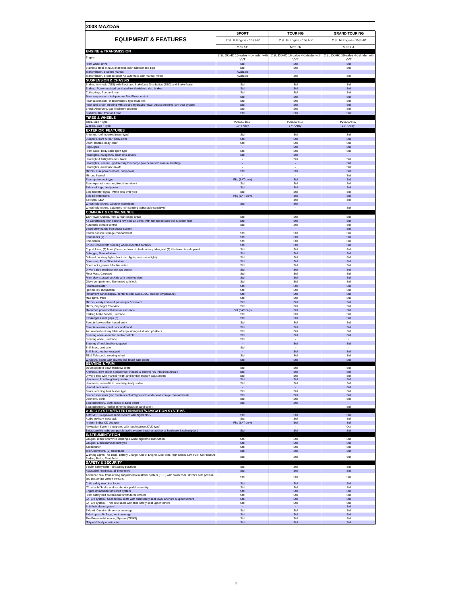| <b>2008 MAZDA5</b>                                                                                                                                         |                          |                         |                                                                                                          |  |
|------------------------------------------------------------------------------------------------------------------------------------------------------------|--------------------------|-------------------------|----------------------------------------------------------------------------------------------------------|--|
|                                                                                                                                                            | <b>SPORT</b>             | <b>TOURING</b>          | <b>GRAND TOURING</b>                                                                                     |  |
| <b>EQUIPMENT &amp; FEATURES</b>                                                                                                                            | 2.3L I4 Engine - 153 HP  | 2.3L I4 Engine - 153 HP | 2.3L I4 Engine - 153 HP                                                                                  |  |
| <b>ENGINE &amp; TRANSMISSION</b>                                                                                                                           | MZ5 SP                   | MZ5 TR                  | MZ5 GT                                                                                                   |  |
| Engine                                                                                                                                                     |                          |                         | 2.3L DOHC 16-valve 4-cylinder with 2.3L DOHC 16-valve 4-cylinder with 2.3L DOHC 16-valve 4-cylinder with |  |
| Front wheel drive                                                                                                                                          | <b>VVT</b><br>Std        | <b>VVT</b><br>Std       | <b>VVT</b><br>Std                                                                                        |  |
| Stainless steel exhaust manifold, main silencer and pipe<br>Transmission, 5-speed manual                                                                   | Std<br>Available         | Std<br>÷                | Std<br>÷                                                                                                 |  |
| Transmission, 5-Speed Sport AT automatic with manual mode<br><b>SUSPENSION &amp; CHASSIS</b>                                                               | Available                | Std                     | Std                                                                                                      |  |
| Brakes, Anti-lock (ABS) with Electronic Brakeforce Distribution (EBD) and Brake-Assist                                                                     | Std                      | Std                     | Std                                                                                                      |  |
| Brakes, Power-assisted ventilated front/solid rear disc brakes<br>Coil springs, front and rear                                                             | Std<br>Std               | Std<br>Std              | Std<br>Std                                                                                               |  |
| Front suspension - Independent MacPherson strut<br>Rear suspension - independent E-type multi-link                                                         | Std<br>Std               | Std<br>Std              | Std<br>Std                                                                                               |  |
| Rack-and-pinion steering with Electro-Hydraulic Power Assist Steering (EHPAS) system<br>Shock Absorbers, gas filled front and rear                         | Std                      | Std<br>Std              | Std<br>Std                                                                                               |  |
| Stabilizer Bar, front and rear                                                                                                                             | Std<br>Std               | Std                     | Std                                                                                                      |  |
| <b>TIRES &amp; WHEELS</b><br>Tires, Size / Type                                                                                                            | P205/50 R17              | P205/50 R17             | P205/50 R17                                                                                              |  |
| Wheels, Size / Type                                                                                                                                        | $17" /$ Allo             | 17" / Allo              | 17" / Alloy                                                                                              |  |
| <b>EXTERIOR FEATURES</b><br>Antenna, roof-mounted (mast-type)                                                                                              | Std                      | Std                     | Std                                                                                                      |  |
| Bumpers, front & rear, body-color<br>Door Handles, body-color                                                                                              | Std<br>Std               | Std<br><b>Std</b>       | Std<br>Std                                                                                               |  |
| Fog Lights<br>Front Grille, body-color sport-type                                                                                                          | ٠<br>Std                 | Std<br>Std              | Std<br>Std                                                                                               |  |
| Headlights, halogen w/ clear lens covers                                                                                                                   | Std                      | Std                     | ×                                                                                                        |  |
| Headlight & taillight bezels, black<br>Headlights, Xenon High-Intensity Discharge (low beam with manual leveling)                                          | $\overline{\phantom{a}}$ | Std<br>×                | Std<br>Std                                                                                               |  |
| Headlights, automatic on/off<br>Mirrors, dual power remote, body-color                                                                                     | Std                      | Std                     | Std<br>Std                                                                                               |  |
| Mirrors, heated<br>Rear spoiler, roof type                                                                                                                 | Pkg (5AT only)           | Std                     | Std<br>Std                                                                                               |  |
| Rear wiper with washer, fixed-intermittent                                                                                                                 | Std                      | Std                     | Std                                                                                                      |  |
| Side moldings, body-color<br>Side repeater lights - white-lens oval type                                                                                   | Std<br>Std               | Std<br>Std              | Std<br>Std                                                                                               |  |
| Side sill extensions<br>Taillights, LED                                                                                                                    | Pkg (5AT only)           | Std<br>Std              | Std<br>Std                                                                                               |  |
| Windshield wipers, variable-intermittent<br>Windshield wipers, automatic rain-sensing (adjustable sensitivity)                                             | Std                      | Std                     | ×,<br>Std                                                                                                |  |
| <b>COMFORT &amp; CONVENIENCE</b>                                                                                                                           |                          |                         |                                                                                                          |  |
| 12V Power Outlets, front & rear (cargo area)<br>Air Conditioning with second row cool air vents (with fan-speed controls) & pollen filter                  | Std<br>Std               | Std<br>Std              | Std<br>Std                                                                                               |  |
| Automatic climate control<br>Bluetooth <sup>®</sup> hands-free phone system                                                                                | Std                      | Std                     | Std<br>Std                                                                                               |  |
| Center console storage compartment                                                                                                                         | Std                      | Std                     | Std                                                                                                      |  |
| Coat hooks (2)<br>Coin holder                                                                                                                              | Std<br>Std               | Std<br>Std              | Std<br>Std                                                                                               |  |
| Cruise Control with steering wheel-mounted controls<br>Cup Holders, (2) front; (2) second row - in fold-out tray table; and (2) third row - in side panel  | Std<br>Std               | Std<br>Std              | Std<br>Std                                                                                               |  |
| Defogger, Rear Window<br>Delayed courtesy lights (front map lights, rear dome light)                                                                       | Std<br>Std               | Std<br>Std              | Std<br>Std                                                                                               |  |
| Demisters, Front Side Window                                                                                                                               | Std                      | Std                     | Std                                                                                                      |  |
| Door Locks, power / double action<br>Driver's side seatback storage pocket                                                                                 | Std<br>Std               | Std<br>Std              | Std<br>Std                                                                                               |  |
| Floor Mats, Carpeted<br>Front door storage pockets with bottle holders                                                                                     | Std<br>Std               | Std<br>Std              | Std<br>Std                                                                                               |  |
| Glove compartment, illuminated with lock<br>Heater/Defroster                                                                                               | Std<br>Std               | Std<br>Std              | Std<br>Std                                                                                               |  |
| Ignition key illumination                                                                                                                                  | Std<br>Std               | Std<br>Std              | Std<br>Std                                                                                               |  |
| Instrument panel display, center (clock, audio, A/C, outside temperature)<br>Map lights, front                                                             | Std                      | Std                     | Std                                                                                                      |  |
| Mirrors, vanity / driver & passenger / covered<br>Mirror, Day/Night Rearview                                                                               | Std<br>Std               | Std<br>Std              | Std<br>Std                                                                                               |  |
| Moonroof, power with interior sunshade<br>Parking brake handle, urethane                                                                                   | Opt (5AT only)<br>Std    | Std<br>Std.             | Std<br>Std                                                                                               |  |
| Passenger assist grips (3)<br>Remote keyless illuminated entry                                                                                             | Std<br>Std               | Std<br>Std              | Std<br>Std                                                                                               |  |
| Remote releases, fuel door and hood                                                                                                                        | Std                      | Std                     | Std                                                                                                      |  |
| 2nd row fold-out tray table w/cargo storage & dual cupholders<br>Steering wheel-mounted audio controls                                                     | Std<br>Std               | Std<br>Std              | Std<br>Std                                                                                               |  |
| Steering wheel, urethane<br>Steering Wheel, leather-wrapped                                                                                                | Std                      | Std                     | Std                                                                                                      |  |
| Shift knob, urethane                                                                                                                                       | Std                      | Std                     | Std                                                                                                      |  |
| Shift knob, leather-wrapped<br>Tilt & Telescopic steering wheel                                                                                            | Std                      | Std                     | Std                                                                                                      |  |
| Windows, power with driver's one-touch auto-down<br><b>SEATING &amp; TRIM</b>                                                                              | Std                      | Std                     | Std                                                                                                      |  |
| 50/50 split fold-down third row seats<br>Armrests, front driver & passenger inboard & second row inboard/outboard                                          | Std<br>Std               | Std<br>Std              | Std<br>Std                                                                                               |  |
| Driver's seat with manual height and lumbar support adjustments<br>Headrests, front height-adjustable                                                      | Std<br>Std               | Std<br>Std              | Std<br>Std                                                                                               |  |
| Headrests, second/third row height-adjustable<br><b>Heated front seats</b>                                                                                 | Std                      | Std                     | Std<br>Std                                                                                               |  |
| Seats, reclining front bucket type<br>Second row seats (two "captain's chair" type) with underseat storage compartments                                    | Std                      | Std.                    | Std                                                                                                      |  |
| Door trim, cloth                                                                                                                                           | Std<br>Std               | Std<br>Std.             | Std<br>Std                                                                                               |  |
| Seat upholstery, cloth (black or sand color)<br>Seat upholstery, leather-trimmed (black or sand color)                                                     | Std                      | Std                     | Std                                                                                                      |  |
| AUDIO SYSTEM/ENTERTAINMENT/NAVIGATION SYSTEMS<br>AM/FM/CD 6-speaker audio system with digital clock                                                        | Std                      | Std                     | Std                                                                                                      |  |
| Audio auxiliary input jack<br>In-dash 6-disc CD changer                                                                                                    | Std<br>Pkg (5AT only)    | Std<br>Std              | Std<br>Std                                                                                               |  |
| Navigation System (integrated with touch screen, DVD type)<br>Sirius satellite radio-compatible audio system (requires additional hardware & subscription) | Std                      | Std                     | Opt<br>Std                                                                                               |  |
| <b>INSTRUMENTATION</b>                                                                                                                                     |                          |                         |                                                                                                          |  |
| Gauges, Black with white lettering & white nighttime illumination<br>Gauges, Electroluminescent type                                                       | Std<br>Std               | Std<br>Std              | Std<br>Std                                                                                               |  |
| Tachometer<br>Trip Odometers, (2) Resettable                                                                                                               | Std<br>Std               | Std<br>Std              | Std<br>Std                                                                                               |  |
| Warning Lights: Air Bags, Battery Charge, Check Engine, Door Ajar, High-Beam, Low Fuel, Oil Pressure<br>Parking Brake, Seat Belts                          | Std                      | Std                     | Std                                                                                                      |  |
| <b>SAFETY &amp; SECURITY</b>                                                                                                                               |                          |                         |                                                                                                          |  |
| 3-point safety belts - all seating positions<br>Adjustable headrests, all three rows                                                                       | Std<br>Std               | Std.<br>Std             | Std<br>Std                                                                                               |  |
| Advanced dual front air bag supplemental restraint system (SRS) with crash zone, driver's seat position<br>and passenger weight sensors                    | Std                      | Std                     | Std                                                                                                      |  |
| Child safety rear door locks<br>"Crushable" brake and accelerator pedal assembly                                                                           | Std<br>Std               | Std<br>Std              | Std<br>Std                                                                                               |  |
| Engine-immobilizer anti-theft system<br>Front safety-belt pretensioners with force-limiters                                                                | Std<br>Std               | Std<br>Std.             | Std<br>Std                                                                                               |  |
| LATCH system - Second row seats with child safety seat lower anchors & upper tethers                                                                       | Std                      | Std                     | Std                                                                                                      |  |
| LATCH system - Third row seats with child safety seat upper tethers<br>Anti-theft alarm system                                                             | Std                      | Std                     | Std<br>Std                                                                                               |  |
| Side Air Curtains, three-row coverage<br>Side-impact Air Bags, front coverage                                                                              | Std<br>Std               | Std<br>Std              | Std<br>Std                                                                                               |  |
| Tire Pressure Monitoring System (TPMS)<br>"Triple H" body construction                                                                                     | Std<br>Std               | Std<br>Std              | Std<br>Std                                                                                               |  |

4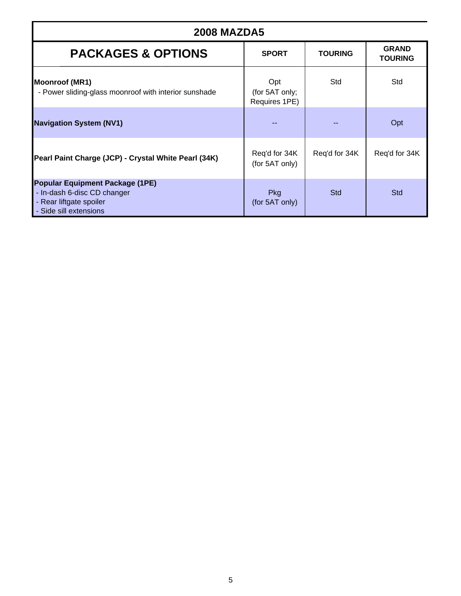| <b>2008 MAZDA5</b>                                                                                                  |                                        |                |                                |
|---------------------------------------------------------------------------------------------------------------------|----------------------------------------|----------------|--------------------------------|
| <b>PACKAGES &amp; OPTIONS</b>                                                                                       | <b>SPORT</b>                           | <b>TOURING</b> | <b>GRAND</b><br><b>TOURING</b> |
| <b>Moonroof (MR1)</b><br>- Power sliding-glass moonroof with interior sunshade                                      | Opt<br>(for 5AT only;<br>Requires 1PE) | Std            | Std                            |
| <b>Navigation System (NV1)</b>                                                                                      |                                        |                | Opt                            |
| Pearl Paint Charge (JCP) - Crystal White Pearl (34K)                                                                | Req'd for 34K<br>(for 5AT only)        | Req'd for 34K  | Req'd for 34K                  |
| Popular Equipment Package (1PE)<br>- In-dash 6-disc CD changer<br>- Rear liftgate spoiler<br>- Side sill extensions | Pkg<br>(for 5AT only)                  | <b>Std</b>     | <b>Std</b>                     |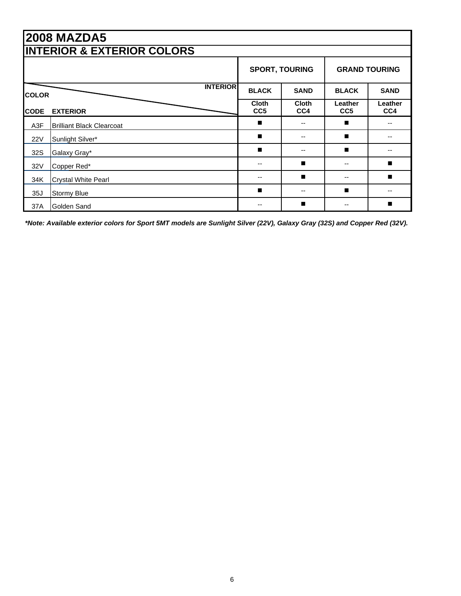|              | <b>2008 MAZDA5</b>                    |                                 |                       |                            |                      |
|--------------|---------------------------------------|---------------------------------|-----------------------|----------------------------|----------------------|
|              | <b>INTERIOR &amp; EXTERIOR COLORS</b> |                                 |                       |                            |                      |
|              |                                       |                                 | <b>SPORT, TOURING</b> |                            | <b>GRAND TOURING</b> |
| <b>COLOR</b> | <b>INTERIOR</b>                       | <b>BLACK</b>                    | <b>SAND</b>           | <b>BLACK</b>               | <b>SAND</b>          |
| <b>CODE</b>  | <b>EXTERIOR</b>                       | <b>Cloth</b><br>CC <sub>5</sub> | <b>Cloth</b><br>CC4   | Leather<br>CC <sub>5</sub> | Leather<br>CC4       |
| A3F          | <b>Brilliant Black Clearcoat</b>      | ▬                               |                       | п                          |                      |
| 22V          | Sunlight Silver*                      | п                               | --                    | п                          |                      |
| 32S          | Galaxy Gray*                          | п                               |                       | п                          |                      |
| 32V          | Copper Red*                           |                                 | ■                     | --                         | ■                    |
| 34K          | <b>Crystal White Pearl</b>            |                                 | ▬                     | --                         | п                    |
| 35J          | <b>Stormy Blue</b>                    | ▬                               | --                    | п                          |                      |
| 37A          | Golden Sand                           |                                 | ■                     |                            | ■                    |

*\*Note: Available exterior colors for Sport 5MT models are Sunlight Silver (22V), Galaxy Gray (32S) and Copper Red (32V).*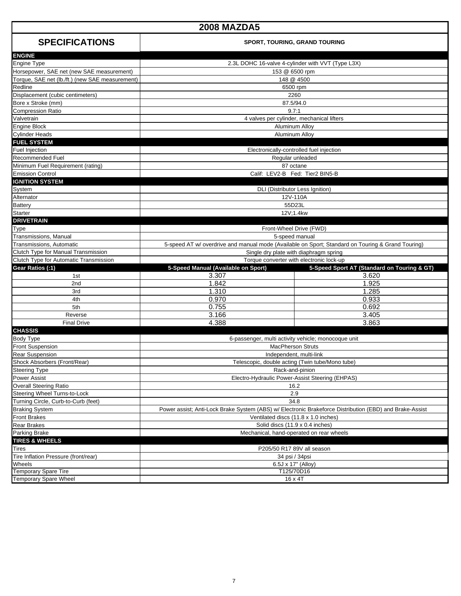| <b>2008 MAZDA5</b>                                   |                                                                                                                                                 |                                                                                                   |  |
|------------------------------------------------------|-------------------------------------------------------------------------------------------------------------------------------------------------|---------------------------------------------------------------------------------------------------|--|
| <b>SPECIFICATIONS</b>                                | <b>SPORT, TOURING, GRAND TOURING</b>                                                                                                            |                                                                                                   |  |
| <b>ENGINE</b><br>Engine Type                         |                                                                                                                                                 | 2.3L DOHC 16-valve 4-cylinder with VVT (Type L3X)                                                 |  |
| Horsepower, SAE net (new SAE measurement)            |                                                                                                                                                 | 153 @ 6500 rpm                                                                                    |  |
| Torque, SAE net (lb./ft.) (new SAE measurement)      |                                                                                                                                                 | 148 @ 4500                                                                                        |  |
| Redline                                              |                                                                                                                                                 | 6500 rpm                                                                                          |  |
| Displacement (cubic centimeters)                     |                                                                                                                                                 | 2260                                                                                              |  |
| Bore x Stroke (mm)                                   |                                                                                                                                                 | 87.5/94.0                                                                                         |  |
| <b>Compression Ratio</b>                             |                                                                                                                                                 | 9.7:1                                                                                             |  |
| Valvetrain                                           |                                                                                                                                                 | 4 valves per cylinder, mechanical lifters                                                         |  |
| <b>Engine Block</b>                                  |                                                                                                                                                 | Aluminum Alloy                                                                                    |  |
| <b>Cylinder Heads</b>                                |                                                                                                                                                 | Aluminum Alloy                                                                                    |  |
| <b>FUEL SYSTEM</b>                                   |                                                                                                                                                 |                                                                                                   |  |
| Fuel Injection                                       |                                                                                                                                                 | Electronically-controlled fuel injection                                                          |  |
| <b>Recommended Fuel</b>                              |                                                                                                                                                 | Regular unleaded                                                                                  |  |
| Minimum Fuel Requirement (rating)                    |                                                                                                                                                 | 87 octane                                                                                         |  |
| <b>Emission Control</b>                              |                                                                                                                                                 | Calif: LEV2-B Fed: Tier2 BIN5-B                                                                   |  |
| <b>IGNITION SYSTEM</b>                               |                                                                                                                                                 |                                                                                                   |  |
| System                                               |                                                                                                                                                 | DLI (Distributor Less Ignition)                                                                   |  |
| Alternator                                           |                                                                                                                                                 | 12V-110A                                                                                          |  |
| <b>Battery</b>                                       |                                                                                                                                                 | 55D23L                                                                                            |  |
| <b>Starter</b>                                       |                                                                                                                                                 | 12V;1.4kw                                                                                         |  |
| <b>DRIVETRAIN</b>                                    |                                                                                                                                                 |                                                                                                   |  |
| Type                                                 |                                                                                                                                                 | Front-Wheel Drive (FWD)                                                                           |  |
| Transmissions, Manual                                |                                                                                                                                                 | 5-speed manual                                                                                    |  |
| Transmissions, Automatic                             |                                                                                                                                                 | 5-speed AT w/ overdrive and manual mode (Available on Sport; Standard on Touring & Grand Touring) |  |
| Clutch Type for Manual Transmission                  | Single dry plate with diaphragm spring                                                                                                          |                                                                                                   |  |
| Clutch Type for Automatic Transmission               |                                                                                                                                                 | Torque converter with electronic lock-up                                                          |  |
| Gear Ratios (:1)                                     | 5-Speed Manual (Available on Sport)                                                                                                             | 5-Speed Sport AT (Standard on Touring & GT)                                                       |  |
| 1st                                                  | 3.307                                                                                                                                           | 3.620                                                                                             |  |
| 2 <sub>nd</sub>                                      | 1.842                                                                                                                                           | 1.925                                                                                             |  |
| 3rd                                                  | 1.310                                                                                                                                           | 1.285                                                                                             |  |
| 4th                                                  | 0.970                                                                                                                                           | 0.933                                                                                             |  |
| 5th                                                  | 0.755                                                                                                                                           | 0.692                                                                                             |  |
| Reverse                                              | 3.166                                                                                                                                           | 3.405                                                                                             |  |
| <b>Final Drive</b>                                   | 4.388                                                                                                                                           | 3.863                                                                                             |  |
| <b>CHASSIS</b>                                       |                                                                                                                                                 |                                                                                                   |  |
| <b>Body Type</b>                                     |                                                                                                                                                 | 6-passenger, multi activity vehicle; monocoque unit                                               |  |
| <b>Front Suspension</b>                              |                                                                                                                                                 | <b>MacPherson Struts</b>                                                                          |  |
| <b>Rear Suspension</b>                               | Independent, multi-link                                                                                                                         |                                                                                                   |  |
| Shock Absorbers (Front/Rear)<br><b>Steering Type</b> | Telescopic, double acting (Twin tube/Mono tube)<br>Rack-and-pinion                                                                              |                                                                                                   |  |
| Power Assist                                         |                                                                                                                                                 |                                                                                                   |  |
| <b>Overall Steering Ratio</b>                        | Electro-Hydraulic Power-Assist Steering (EHPAS)                                                                                                 |                                                                                                   |  |
| Steering Wheel Turns-to-Lock                         | 16.2                                                                                                                                            |                                                                                                   |  |
| Turning Circle, Curb-to-Curb (feet)                  | 2.9<br>34.8                                                                                                                                     |                                                                                                   |  |
| <b>Braking System</b>                                |                                                                                                                                                 |                                                                                                   |  |
| <b>Front Brakes</b>                                  | Power assist; Anti-Lock Brake System (ABS) w/ Electronic Brakeforce Distribution (EBD) and Brake-Assist<br>Ventilated discs (11.8 x 1.0 inches) |                                                                                                   |  |
| <b>Rear Brakes</b>                                   | Solid discs (11.9 x 0.4 inches)                                                                                                                 |                                                                                                   |  |
| Parking Brake                                        | Mechanical, hand-operated on rear wheels                                                                                                        |                                                                                                   |  |
| <b>TIRES &amp; WHEELS</b>                            |                                                                                                                                                 |                                                                                                   |  |
| Tires                                                |                                                                                                                                                 | P205/50 R17 89V all season                                                                        |  |
| Tire Inflation Pressure (front/rear)                 |                                                                                                                                                 |                                                                                                   |  |
| Wheels                                               | 34 psi / 34psi<br>6.5J x 17" (Alloy)                                                                                                            |                                                                                                   |  |
| Temporary Spare Tire                                 | T125/70D16                                                                                                                                      |                                                                                                   |  |
| <b>Temporary Spare Wheel</b>                         |                                                                                                                                                 | 16 x 4T                                                                                           |  |
|                                                      |                                                                                                                                                 |                                                                                                   |  |